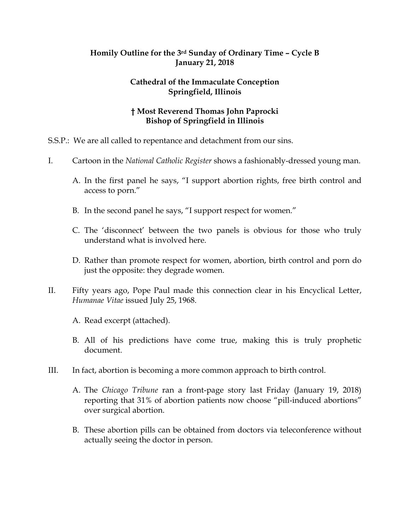## **Homily Outline for the 3rd Sunday of Ordinary Time – Cycle B January 21, 2018**

## **Cathedral of the Immaculate Conception Springfield, Illinois**

## **† Most Reverend Thomas John Paprocki Bishop of Springfield in Illinois**

- S.S.P.: We are all called to repentance and detachment from our sins.
- I. Cartoon in the *National Catholic Register* shows a fashionably-dressed young man.
	- A. In the first panel he says, "I support abortion rights, free birth control and access to porn."
	- B. In the second panel he says, "I support respect for women."
	- C. The 'disconnect' between the two panels is obvious for those who truly understand what is involved here.
	- D. Rather than promote respect for women, abortion, birth control and porn do just the opposite: they degrade women.
- II. Fifty years ago, Pope Paul made this connection clear in his Encyclical Letter, *Humanae Vitae* issued July 25, 1968.
	- A. Read excerpt (attached).
	- B. All of his predictions have come true, making this is truly prophetic document.
- III. In fact, abortion is becoming a more common approach to birth control.
	- A. The *Chicago Tribune* ran a front-page story last Friday (January 19, 2018) reporting that 31% of abortion patients now choose "pill-induced abortions" over surgical abortion.
	- B. These abortion pills can be obtained from doctors via teleconference without actually seeing the doctor in person.